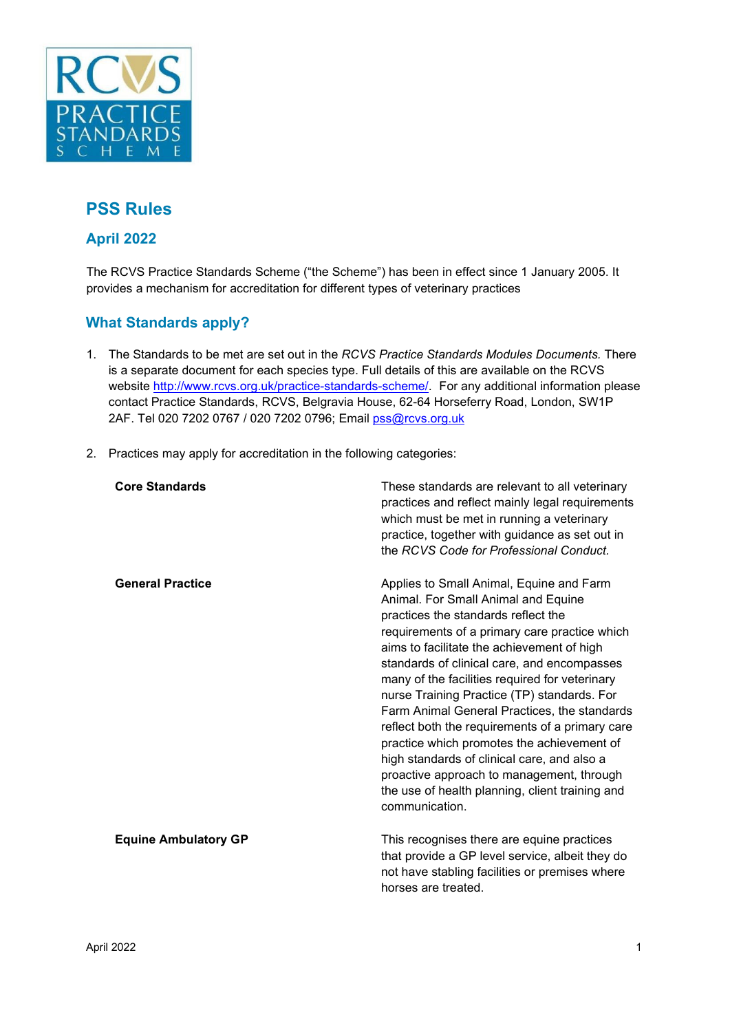

# **PSS Rules**

## **April 2022**

The RCVS Practice Standards Scheme ("the Scheme") has been in effect since 1 January 2005. It provides a mechanism for accreditation for different types of veterinary practices

## **What Standards apply?**

- 1. The Standards to be met are set out in the *RCVS Practice Standards Modules Documents.* There is a separate document for each species type. Full details of this are available on the RCVS website [http://www.rcvs.org.uk/practice-standards-scheme/.](http://www.rcvs.org.uk/practice-standards-scheme/) [F](http://www.rcvs.org.uk/practice-standards-scheme/)or any additional information please contact Practice Standards, RCVS, Belgravia House, 62-64 Horseferry Road, London, SW1P 2AF. Tel 020 7202 0767 / 020 7202 0796; Email pss@rcvs.org.uk
- 2. Practices may apply for accreditation in the following categories:

| <b>Core Standards</b>       | These standards are relevant to all veterinary<br>practices and reflect mainly legal requirements<br>which must be met in running a veterinary<br>practice, together with guidance as set out in<br>the RCVS Code for Professional Conduct.                                                                                                                                                                                                                                                                                                                                                                                                                                             |
|-----------------------------|-----------------------------------------------------------------------------------------------------------------------------------------------------------------------------------------------------------------------------------------------------------------------------------------------------------------------------------------------------------------------------------------------------------------------------------------------------------------------------------------------------------------------------------------------------------------------------------------------------------------------------------------------------------------------------------------|
| <b>General Practice</b>     | Applies to Small Animal, Equine and Farm<br>Animal. For Small Animal and Equine<br>practices the standards reflect the<br>requirements of a primary care practice which<br>aims to facilitate the achievement of high<br>standards of clinical care, and encompasses<br>many of the facilities required for veterinary<br>nurse Training Practice (TP) standards. For<br>Farm Animal General Practices, the standards<br>reflect both the requirements of a primary care<br>practice which promotes the achievement of<br>high standards of clinical care, and also a<br>proactive approach to management, through<br>the use of health planning, client training and<br>communication. |
| <b>Equine Ambulatory GP</b> | This recognises there are equine practices<br>that provide a GP level service, albeit they do<br>not have stabling facilities or premises where<br>horses are treated.                                                                                                                                                                                                                                                                                                                                                                                                                                                                                                                  |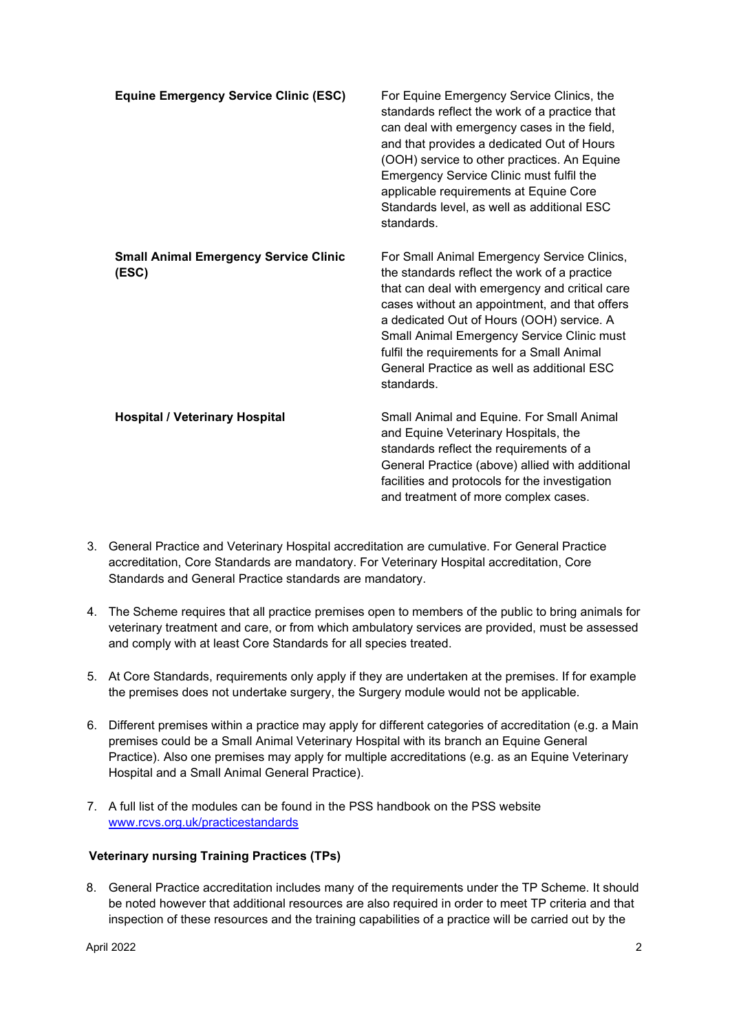| <b>Equine Emergency Service Clinic (ESC)</b>          | For Equine Emergency Service Clinics, the<br>standards reflect the work of a practice that<br>can deal with emergency cases in the field,<br>and that provides a dedicated Out of Hours<br>(OOH) service to other practices. An Equine<br>Emergency Service Clinic must fulfil the<br>applicable requirements at Equine Core<br>Standards level, as well as additional ESC<br>standards.            |
|-------------------------------------------------------|-----------------------------------------------------------------------------------------------------------------------------------------------------------------------------------------------------------------------------------------------------------------------------------------------------------------------------------------------------------------------------------------------------|
| <b>Small Animal Emergency Service Clinic</b><br>(ESC) | For Small Animal Emergency Service Clinics,<br>the standards reflect the work of a practice<br>that can deal with emergency and critical care<br>cases without an appointment, and that offers<br>a dedicated Out of Hours (OOH) service. A<br>Small Animal Emergency Service Clinic must<br>fulfil the requirements for a Small Animal<br>General Practice as well as additional ESC<br>standards. |
| <b>Hospital / Veterinary Hospital</b>                 | Small Animal and Equine. For Small Animal<br>and Equine Veterinary Hospitals, the<br>standards reflect the requirements of a<br>General Practice (above) allied with additional<br>facilities and protocols for the investigation<br>and treatment of more complex cases.                                                                                                                           |

- 3. General Practice and Veterinary Hospital accreditation are cumulative. For General Practice accreditation, Core Standards are mandatory. For Veterinary Hospital accreditation, Core Standards and General Practice standards are mandatory.
- 4. The Scheme requires that all practice premises open to members of the public to bring animals for veterinary treatment and care, or from which ambulatory services are provided, must be assessed and comply with at least Core Standards for all species treated.
- 5. At Core Standards, requirements only apply if they are undertaken at the premises. If for example the premises does not undertake surgery, the Surgery module would not be applicable.
- 6. Different premises within a practice may apply for different categories of accreditation (e.g. a Main premises could be a Small Animal Veterinary Hospital with its branch an Equine General Practice). Also one premises may apply for multiple accreditations (e.g. as an Equine Veterinary Hospital and a Small Animal General Practice).
- 7. A full list of the modules can be found in the PSS handbook on the PSS website [www.rcvs.org.uk/practicestandards](http://www.rcvs.org.uk/practicestandards)

#### **Veterinary nursing Training Practices (TPs)**

8. General Practice accreditation includes many of the requirements under the TP Scheme. It should be noted however that additional resources are also required in order to meet TP criteria and that inspection of these resources and the training capabilities of a practice will be carried out by the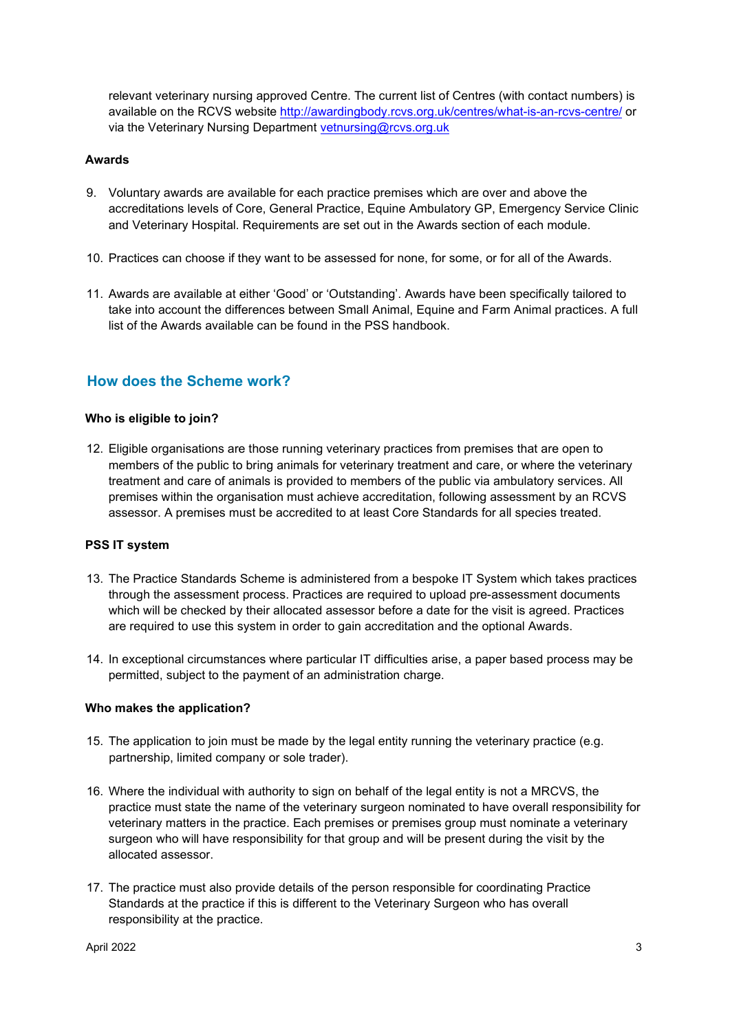relevant veterinary nursing approved Centre. The current list of Centres (with contact numbers) is available on the RCVS website<http://awardingbody.rcvs.org.uk/centres/what-is-an-rcvs-centre/> [or](http://awardingbody.rcvs.org.uk/centres/what-is-an-rcvs-centre/) via the Veterinary Nursing Department vetnursing@rcvs.org.uk

#### **Awards**

- 9. Voluntary awards are available for each practice premises which are over and above the accreditations levels of Core, General Practice, Equine Ambulatory GP, Emergency Service Clinic and Veterinary Hospital. Requirements are set out in the Awards section of each module.
- 10. Practices can choose if they want to be assessed for none, for some, or for all of the Awards.
- 11. Awards are available at either 'Good' or 'Outstanding'. Awards have been specifically tailored to take into account the differences between Small Animal, Equine and Farm Animal practices. A full list of the Awards available can be found in the PSS handbook.

## **How does the Scheme work?**

#### **Who is eligible to join?**

12. Eligible organisations are those running veterinary practices from premises that are open to members of the public to bring animals for veterinary treatment and care, or where the veterinary treatment and care of animals is provided to members of the public via ambulatory services. All premises within the organisation must achieve accreditation, following assessment by an RCVS assessor. A premises must be accredited to at least Core Standards for all species treated.

#### **PSS IT system**

- 13. The Practice Standards Scheme is administered from a bespoke IT System which takes practices through the assessment process. Practices are required to upload pre-assessment documents which will be checked by their allocated assessor before a date for the visit is agreed. Practices are required to use this system in order to gain accreditation and the optional Awards.
- 14. In exceptional circumstances where particular IT difficulties arise, a paper based process may be permitted, subject to the payment of an administration charge.

#### **Who makes the application?**

- 15. The application to join must be made by the legal entity running the veterinary practice (e.g. partnership, limited company or sole trader).
- 16. Where the individual with authority to sign on behalf of the legal entity is not a MRCVS, the practice must state the name of the veterinary surgeon nominated to have overall responsibility for veterinary matters in the practice. Each premises or premises group must nominate a veterinary surgeon who will have responsibility for that group and will be present during the visit by the allocated assessor.
- 17. The practice must also provide details of the person responsible for coordinating Practice Standards at the practice if this is different to the Veterinary Surgeon who has overall responsibility at the practice.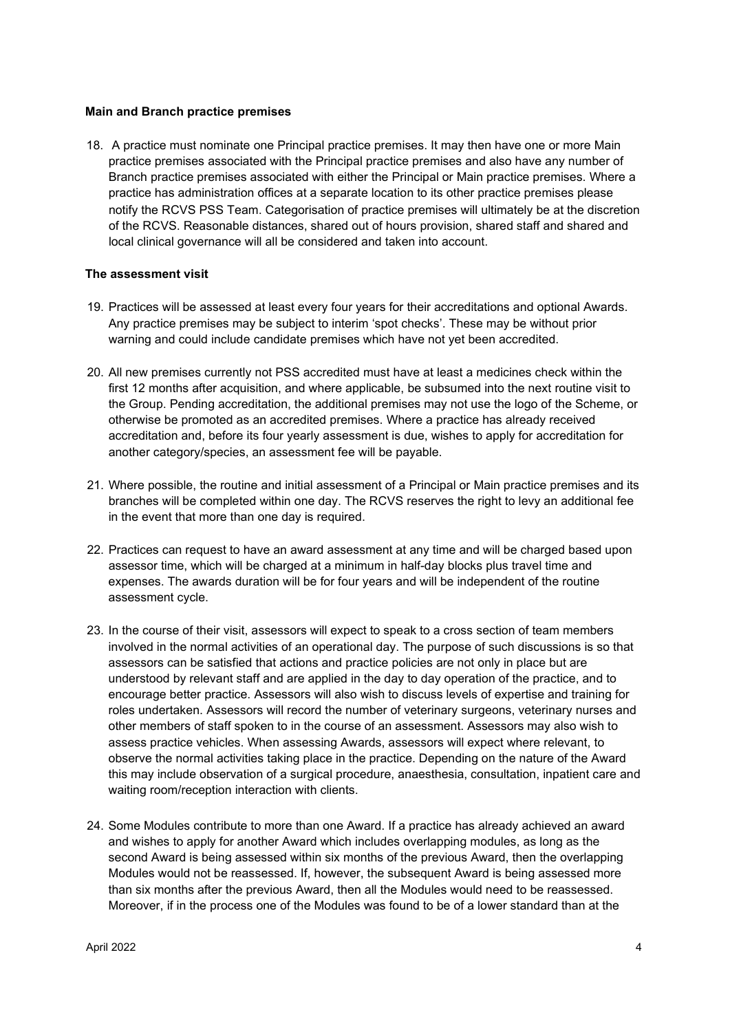#### **Main and Branch practice premises**

18. A practice must nominate one Principal practice premises. It may then have one or more Main practice premises associated with the Principal practice premises and also have any number of Branch practice premises associated with either the Principal or Main practice premises. Where a practice has administration offices at a separate location to its other practice premises please notify the RCVS PSS Team. Categorisation of practice premises will ultimately be at the discretion of the RCVS. Reasonable distances, shared out of hours provision, shared staff and shared and local clinical governance will all be considered and taken into account.

#### **The assessment visit**

- 19. Practices will be assessed at least every four years for their accreditations and optional Awards. Any practice premises may be subject to interim 'spot checks'. These may be without prior warning and could include candidate premises which have not yet been accredited.
- 20. All new premises currently not PSS accredited must have at least a medicines check within the first 12 months after acquisition, and where applicable, be subsumed into the next routine visit to the Group. Pending accreditation, the additional premises may not use the logo of the Scheme, or otherwise be promoted as an accredited premises. Where a practice has already received accreditation and, before its four yearly assessment is due, wishes to apply for accreditation for another category/species, an assessment fee will be payable.
- 21. Where possible, the routine and initial assessment of a Principal or Main practice premises and its branches will be completed within one day. The RCVS reserves the right to levy an additional fee in the event that more than one day is required.
- 22. Practices can request to have an award assessment at any time and will be charged based upon assessor time, which will be charged at a minimum in half-day blocks plus travel time and expenses. The awards duration will be for four years and will be independent of the routine assessment cycle.
- 23. In the course of their visit, assessors will expect to speak to a cross section of team members involved in the normal activities of an operational day. The purpose of such discussions is so that assessors can be satisfied that actions and practice policies are not only in place but are understood by relevant staff and are applied in the day to day operation of the practice, and to encourage better practice. Assessors will also wish to discuss levels of expertise and training for roles undertaken. Assessors will record the number of veterinary surgeons, veterinary nurses and other members of staff spoken to in the course of an assessment. Assessors may also wish to assess practice vehicles. When assessing Awards, assessors will expect where relevant, to observe the normal activities taking place in the practice. Depending on the nature of the Award this may include observation of a surgical procedure, anaesthesia, consultation, inpatient care and waiting room/reception interaction with clients.
- 24. Some Modules contribute to more than one Award. If a practice has already achieved an award and wishes to apply for another Award which includes overlapping modules, as long as the second Award is being assessed within six months of the previous Award, then the overlapping Modules would not be reassessed. If, however, the subsequent Award is being assessed more than six months after the previous Award, then all the Modules would need to be reassessed. Moreover, if in the process one of the Modules was found to be of a lower standard than at the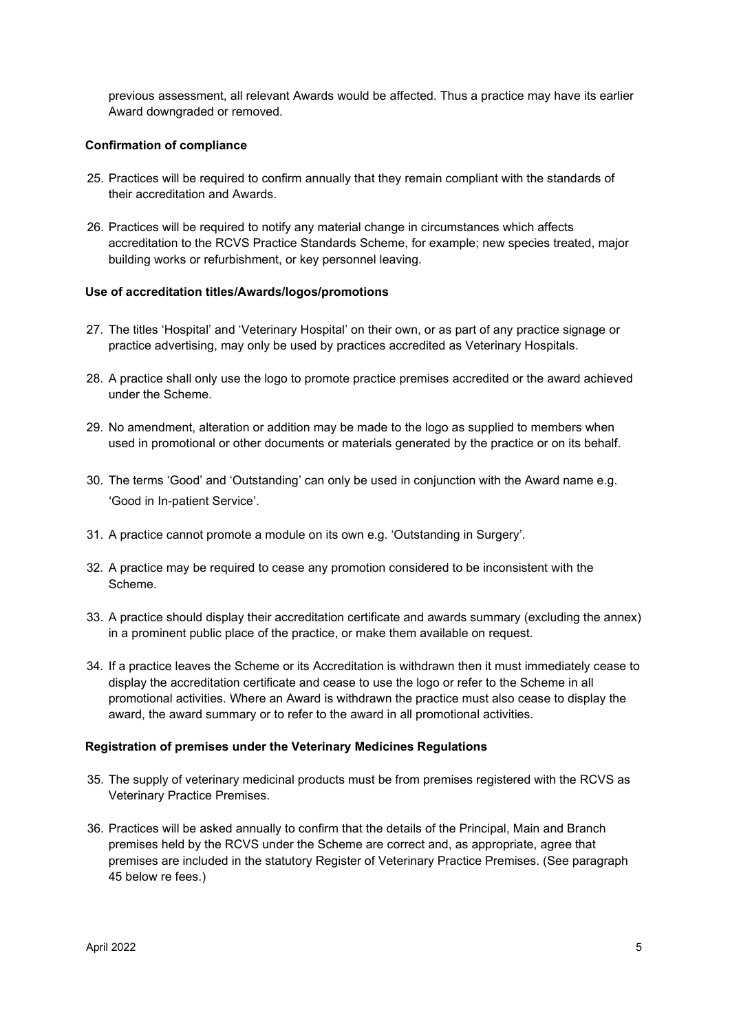previous assessment, all relevant Awards would be affected. Thus a practice may have its earlier Award downgraded or removed.

#### **Confirmation of compliance**

- 25. Practices will be required to confirm annually that they remain compliant with the standards of their accreditation and Awards.
- 26. Practices will be required to notify any material change in circumstances which affects accreditation to the RCVS Practice Standards Scheme, for example; new species treated, major building works or refurbishment, or key personnel leaving.

#### **Use of accreditation titles/Awards/logos/promotions**

- 27. The titles 'Hospital' and 'Veterinary Hospital' on their own, or as part of any practice signage or practice advertising, may only be used by practices accredited as Veterinary Hospitals.
- 28. A practice shall only use the logo to promote practice premises accredited or the award achieved under the Scheme.
- 29. No amendment, alteration or addition may be made to the logo as supplied to members when used in promotional or other documents or materials generated by the practice or on its behalf.
- 30. The terms 'Good' and 'Outstanding' can only be used in conjunction with the Award name e.g. 'Good in In-patient Service'.
- 31. A practice cannot promote a module on its own e.g. 'Outstanding in Surgery'.
- 32. A practice may be required to cease any promotion considered to be inconsistent with the Scheme.
- 33. A practice should display their accreditation certificate and awards summary (excluding the annex) in a prominent public place of the practice, or make them available on request.
- 34. If a practice leaves the Scheme or its Accreditation is withdrawn then it must immediately cease to display the accreditation certificate and cease to use the logo or refer to the Scheme in all promotional activities. Where an Award is withdrawn the practice must also cease to display the award, the award summary or to refer to the award in all promotional activities.

#### **Registration of premises under the Veterinary Medicines Regulations**

- 35. The supply of veterinary medicinal products must be from premises registered with the RCVS as Veterinary Practice Premises.
- 36. Practices will be asked annually to confirm that the details of the Principal, Main and Branch premises held by the RCVS under the Scheme are correct and, as appropriate, agree that premises are included in the statutory Register of Veterinary Practice Premises. (See paragraph 45 below re fees.)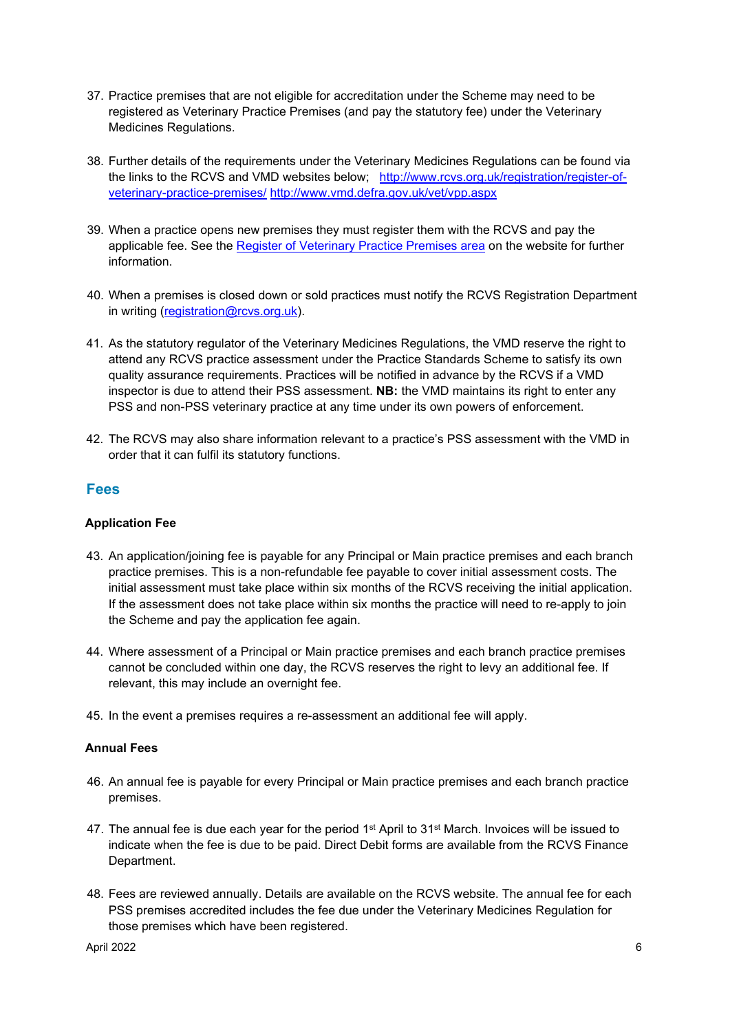- 37. Practice premises that are not eligible for accreditation under the Scheme may need to be registered as Veterinary Practice Premises (and pay the statutory fee) under the Veterinary Medicines Regulations.
- 38. Further details of the requirements under the Veterinary Medicines Regulations can be found via the links to the RCVS and VMD websites below; [http://www.rcvs.org.uk/registration/register-of](http://www.rcvs.org.uk/registration/register-of-veterinary-practice-premises/)[veterinary-practice-premises/](http://www.rcvs.org.uk/registration/register-of-veterinary-practice-premises/) <http://www.vmd.defra.gov.uk/vet/vpp.aspx>
- 39. When a practice opens new premises they must register them with the RCVS and pay the applicable fee. See the [Register of Veterinary Practice Premises area](http://www.rcvs.org.uk/registration/register-of-veterinary-practice-premises/) [on](http://www.rcvs.org.uk/registration/register-of-veterinary-practice-premises/) the website for further information.
- 40. When a premises is closed down or sold practices must notify the RCVS Registration Department in writing (registration@rcvs.org.uk).
- 41. As the statutory regulator of the Veterinary Medicines Regulations, the VMD reserve the right to attend any RCVS practice assessment under the Practice Standards Scheme to satisfy its own quality assurance requirements. Practices will be notified in advance by the RCVS if a VMD inspector is due to attend their PSS assessment. **NB:** the VMD maintains its right to enter any PSS and non-PSS veterinary practice at any time under its own powers of enforcement.
- 42. The RCVS may also share information relevant to a practice's PSS assessment with the VMD in order that it can fulfil its statutory functions.

### **Fees**

#### **Application Fee**

- 43. An application/joining fee is payable for any Principal or Main practice premises and each branch practice premises. This is a non-refundable fee payable to cover initial assessment costs. The initial assessment must take place within six months of the RCVS receiving the initial application. If the assessment does not take place within six months the practice will need to re-apply to join the Scheme and pay the application fee again.
- 44. Where assessment of a Principal or Main practice premises and each branch practice premises cannot be concluded within one day, the RCVS reserves the right to levy an additional fee. If relevant, this may include an overnight fee.
- 45. In the event a premises requires a re-assessment an additional fee will apply.

#### **Annual Fees**

- 46. An annual fee is payable for every Principal or Main practice premises and each branch practice premises.
- 47. The annual fee is due each year for the period 1<sup>st</sup> April to 31<sup>st</sup> March. Invoices will be issued to indicate when the fee is due to be paid. Direct Debit forms are available from the RCVS Finance Department.
- 48. Fees are reviewed annually. Details are available on the RCVS website. The annual fee for each PSS premises accredited includes the fee due under the Veterinary Medicines Regulation for those premises which have been registered.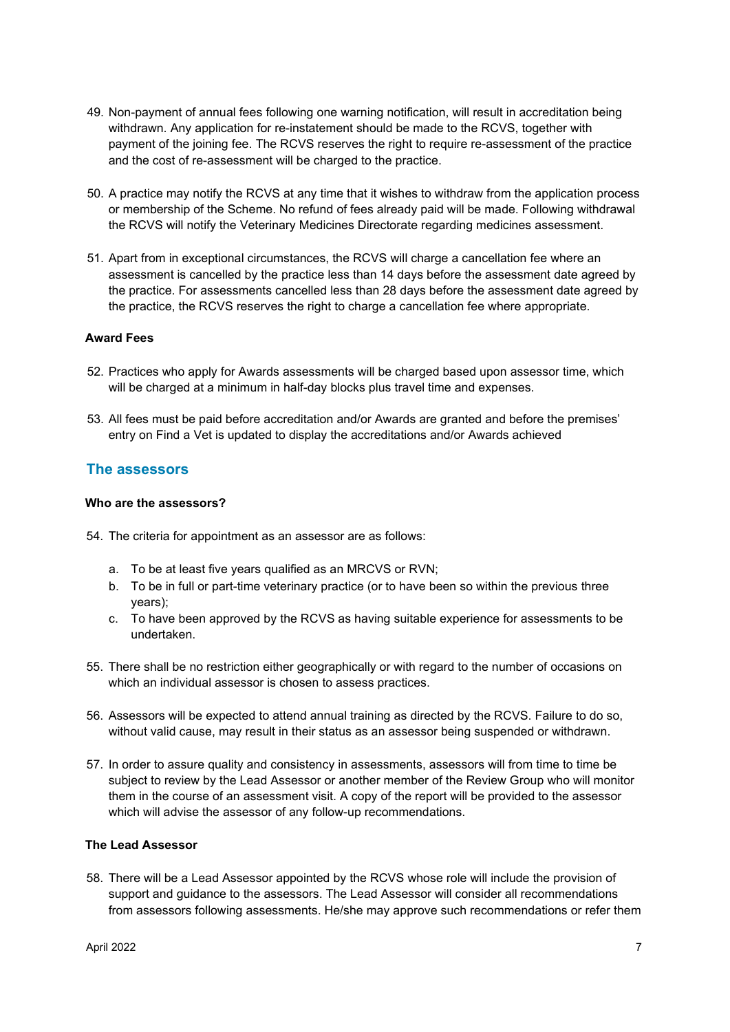- 49. Non-payment of annual fees following one warning notification, will result in accreditation being withdrawn. Any application for re-instatement should be made to the RCVS, together with payment of the joining fee. The RCVS reserves the right to require re-assessment of the practice and the cost of re-assessment will be charged to the practice.
- 50. A practice may notify the RCVS at any time that it wishes to withdraw from the application process or membership of the Scheme. No refund of fees already paid will be made. Following withdrawal the RCVS will notify the Veterinary Medicines Directorate regarding medicines assessment.
- 51. Apart from in exceptional circumstances, the RCVS will charge a cancellation fee where an assessment is cancelled by the practice less than 14 days before the assessment date agreed by the practice. For assessments cancelled less than 28 days before the assessment date agreed by the practice, the RCVS reserves the right to charge a cancellation fee where appropriate.

#### **Award Fees**

- 52. Practices who apply for Awards assessments will be charged based upon assessor time, which will be charged at a minimum in half-day blocks plus travel time and expenses.
- 53. All fees must be paid before accreditation and/or Awards are granted and before the premises' entry on Find a Vet is updated to display the accreditations and/or Awards achieved

### **The assessors**

#### **Who are the assessors?**

- 54. The criteria for appointment as an assessor are as follows:
	- a. To be at least five years qualified as an MRCVS or RVN;
	- b. To be in full or part-time veterinary practice (or to have been so within the previous three years);
	- c. To have been approved by the RCVS as having suitable experience for assessments to be undertaken.
- 55. There shall be no restriction either geographically or with regard to the number of occasions on which an individual assessor is chosen to assess practices.
- 56. Assessors will be expected to attend annual training as directed by the RCVS. Failure to do so, without valid cause, may result in their status as an assessor being suspended or withdrawn.
- 57. In order to assure quality and consistency in assessments, assessors will from time to time be subject to review by the Lead Assessor or another member of the Review Group who will monitor them in the course of an assessment visit. A copy of the report will be provided to the assessor which will advise the assessor of any follow-up recommendations.

#### **The Lead Assessor**

58. There will be a Lead Assessor appointed by the RCVS whose role will include the provision of support and guidance to the assessors. The Lead Assessor will consider all recommendations from assessors following assessments. He/she may approve such recommendations or refer them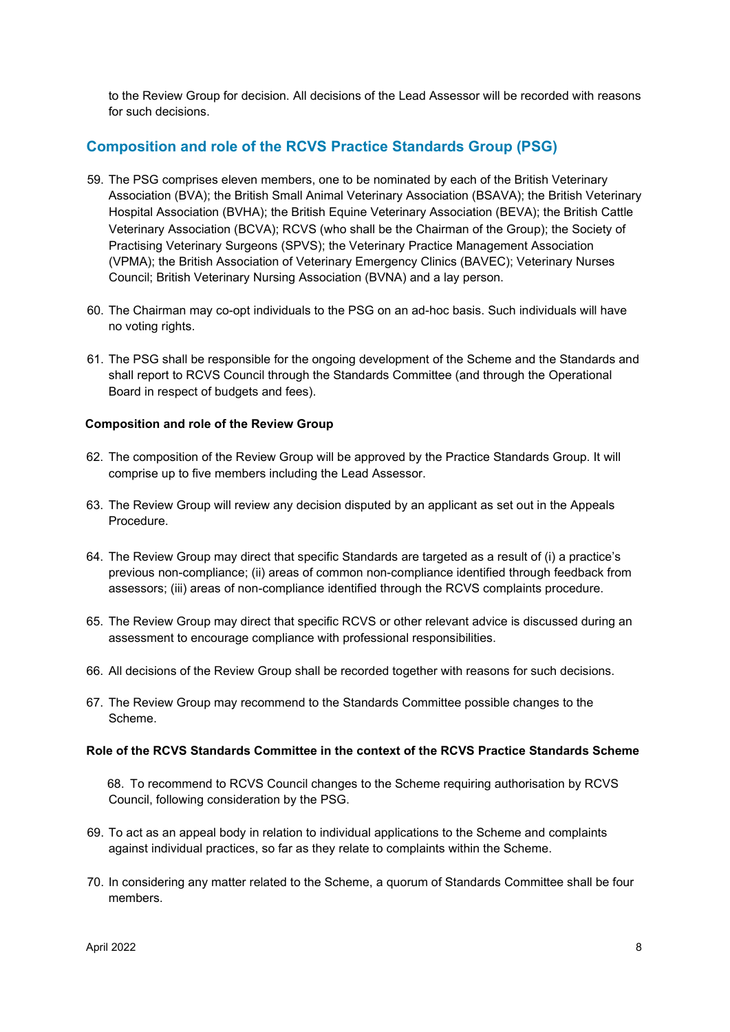to the Review Group for decision. All decisions of the Lead Assessor will be recorded with reasons for such decisions.

## **Composition and role of the RCVS Practice Standards Group (PSG)**

- 59. The PSG comprises eleven members, one to be nominated by each of the British Veterinary Association (BVA); the British Small Animal Veterinary Association (BSAVA); the British Veterinary Hospital Association (BVHA); the British Equine Veterinary Association (BEVA); the British Cattle Veterinary Association (BCVA); RCVS (who shall be the Chairman of the Group); the Society of Practising Veterinary Surgeons (SPVS); the Veterinary Practice Management Association (VPMA); the British Association of Veterinary Emergency Clinics (BAVEC); Veterinary Nurses Council; British Veterinary Nursing Association (BVNA) and a lay person.
- 60. The Chairman may co-opt individuals to the PSG on an ad-hoc basis. Such individuals will have no voting rights.
- 61. The PSG shall be responsible for the ongoing development of the Scheme and the Standards and shall report to RCVS Council through the Standards Committee (and through the Operational Board in respect of budgets and fees).

#### **Composition and role of the Review Group**

- 62. The composition of the Review Group will be approved by the Practice Standards Group. It will comprise up to five members including the Lead Assessor.
- 63. The Review Group will review any decision disputed by an applicant as set out in the Appeals Procedure.
- 64. The Review Group may direct that specific Standards are targeted as a result of (i) a practice's previous non-compliance; (ii) areas of common non-compliance identified through feedback from assessors; (iii) areas of non-compliance identified through the RCVS complaints procedure.
- 65. The Review Group may direct that specific RCVS or other relevant advice is discussed during an assessment to encourage compliance with professional responsibilities.
- 66. All decisions of the Review Group shall be recorded together with reasons for such decisions.
- 67. The Review Group may recommend to the Standards Committee possible changes to the Scheme.

#### **Role of the RCVS Standards Committee in the context of the RCVS Practice Standards Scheme**

68. To recommend to RCVS Council changes to the Scheme requiring authorisation by RCVS Council, following consideration by the PSG.

- 69. To act as an appeal body in relation to individual applications to the Scheme and complaints against individual practices, so far as they relate to complaints within the Scheme.
- 70. In considering any matter related to the Scheme, a quorum of Standards Committee shall be four members.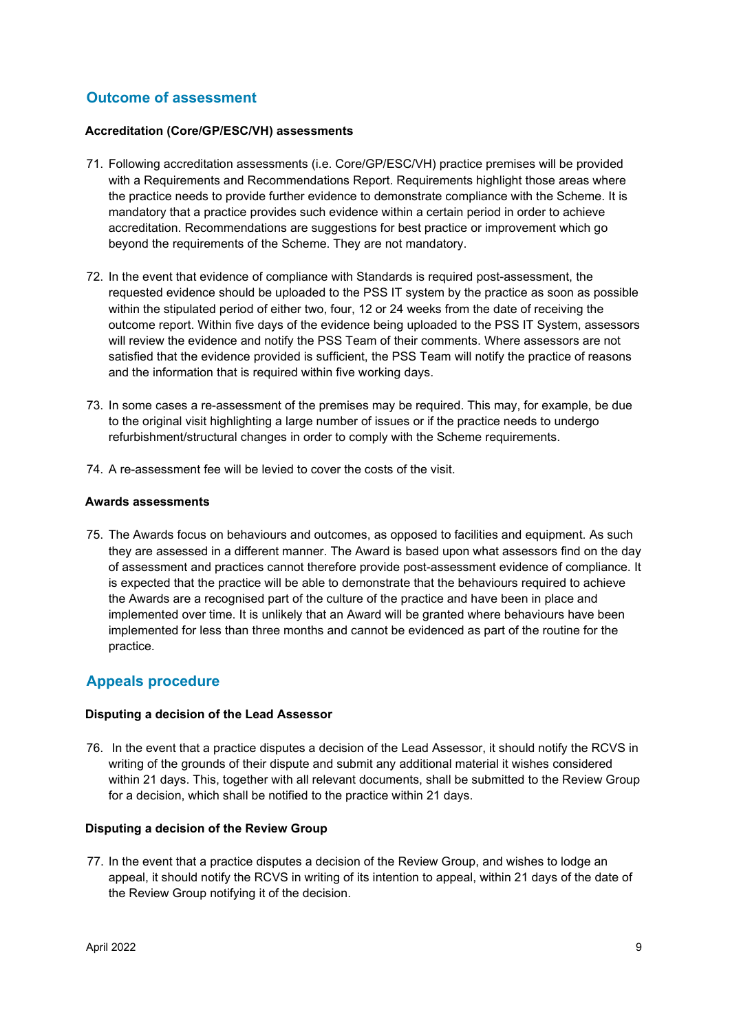## **Outcome of assessment**

#### **Accreditation (Core/GP/ESC/VH) assessments**

- 71. Following accreditation assessments (i.e. Core/GP/ESC/VH) practice premises will be provided with a Requirements and Recommendations Report. Requirements highlight those areas where the practice needs to provide further evidence to demonstrate compliance with the Scheme. It is mandatory that a practice provides such evidence within a certain period in order to achieve accreditation. Recommendations are suggestions for best practice or improvement which go beyond the requirements of the Scheme. They are not mandatory.
- 72. In the event that evidence of compliance with Standards is required post-assessment, the requested evidence should be uploaded to the PSS IT system by the practice as soon as possible within the stipulated period of either two, four, 12 or 24 weeks from the date of receiving the outcome report. Within five days of the evidence being uploaded to the PSS IT System, assessors will review the evidence and notify the PSS Team of their comments. Where assessors are not satisfied that the evidence provided is sufficient, the PSS Team will notify the practice of reasons and the information that is required within five working days.
- 73. In some cases a re-assessment of the premises may be required. This may, for example, be due to the original visit highlighting a large number of issues or if the practice needs to undergo refurbishment/structural changes in order to comply with the Scheme requirements.
- 74. A re-assessment fee will be levied to cover the costs of the visit.

#### **Awards assessments**

75. The Awards focus on behaviours and outcomes, as opposed to facilities and equipment. As such they are assessed in a different manner. The Award is based upon what assessors find on the day of assessment and practices cannot therefore provide post-assessment evidence of compliance. It is expected that the practice will be able to demonstrate that the behaviours required to achieve the Awards are a recognised part of the culture of the practice and have been in place and implemented over time. It is unlikely that an Award will be granted where behaviours have been implemented for less than three months and cannot be evidenced as part of the routine for the practice.

## **Appeals procedure**

#### **Disputing a decision of the Lead Assessor**

76. In the event that a practice disputes a decision of the Lead Assessor, it should notify the RCVS in writing of the grounds of their dispute and submit any additional material it wishes considered within 21 days. This, together with all relevant documents, shall be submitted to the Review Group for a decision, which shall be notified to the practice within 21 days.

#### **Disputing a decision of the Review Group**

77. In the event that a practice disputes a decision of the Review Group, and wishes to lodge an appeal, it should notify the RCVS in writing of its intention to appeal, within 21 days of the date of the Review Group notifying it of the decision.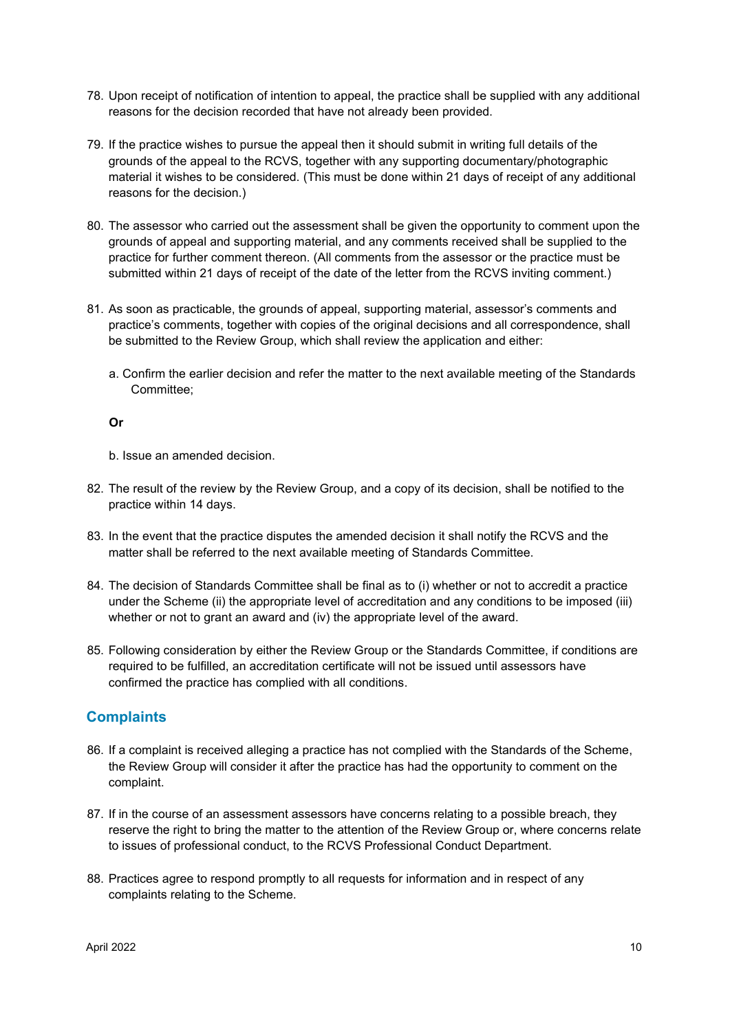- 78. Upon receipt of notification of intention to appeal, the practice shall be supplied with any additional reasons for the decision recorded that have not already been provided.
- 79. If the practice wishes to pursue the appeal then it should submit in writing full details of the grounds of the appeal to the RCVS, together with any supporting documentary/photographic material it wishes to be considered. (This must be done within 21 days of receipt of any additional reasons for the decision.)
- 80. The assessor who carried out the assessment shall be given the opportunity to comment upon the grounds of appeal and supporting material, and any comments received shall be supplied to the practice for further comment thereon. (All comments from the assessor or the practice must be submitted within 21 days of receipt of the date of the letter from the RCVS inviting comment.)
- 81. As soon as practicable, the grounds of appeal, supporting material, assessor's comments and practice's comments, together with copies of the original decisions and all correspondence, shall be submitted to the Review Group, which shall review the application and either:
	- a. Confirm the earlier decision and refer the matter to the next available meeting of the Standards Committee;

#### **Or**

b. Issue an amended decision.

- 82. The result of the review by the Review Group, and a copy of its decision, shall be notified to the practice within 14 days.
- 83. In the event that the practice disputes the amended decision it shall notify the RCVS and the matter shall be referred to the next available meeting of Standards Committee.
- 84. The decision of Standards Committee shall be final as to (i) whether or not to accredit a practice under the Scheme (ii) the appropriate level of accreditation and any conditions to be imposed (iii) whether or not to grant an award and (iv) the appropriate level of the award.
- 85. Following consideration by either the Review Group or the Standards Committee, if conditions are required to be fulfilled, an accreditation certificate will not be issued until assessors have confirmed the practice has complied with all conditions.

## **Complaints**

- 86. If a complaint is received alleging a practice has not complied with the Standards of the Scheme, the Review Group will consider it after the practice has had the opportunity to comment on the complaint.
- 87. If in the course of an assessment assessors have concerns relating to a possible breach, they reserve the right to bring the matter to the attention of the Review Group or, where concerns relate to issues of professional conduct, to the RCVS Professional Conduct Department.
- 88. Practices agree to respond promptly to all requests for information and in respect of any complaints relating to the Scheme.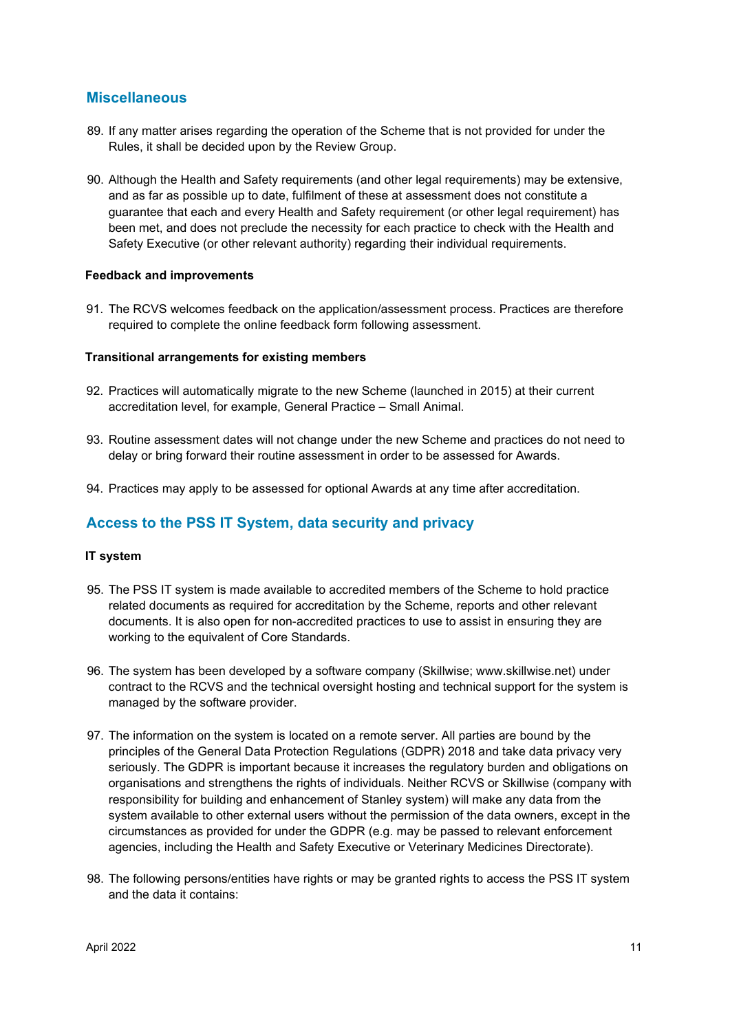### **Miscellaneous**

- 89. If any matter arises regarding the operation of the Scheme that is not provided for under the Rules, it shall be decided upon by the Review Group.
- 90. Although the Health and Safety requirements (and other legal requirements) may be extensive, and as far as possible up to date, fulfilment of these at assessment does not constitute a guarantee that each and every Health and Safety requirement (or other legal requirement) has been met, and does not preclude the necessity for each practice to check with the Health and Safety Executive (or other relevant authority) regarding their individual requirements.

#### **Feedback and improvements**

91. The RCVS welcomes feedback on the application/assessment process. Practices are therefore required to complete the online feedback form following assessment.

#### **Transitional arrangements for existing members**

- 92. Practices will automatically migrate to the new Scheme (launched in 2015) at their current accreditation level, for example, General Practice – Small Animal.
- 93. Routine assessment dates will not change under the new Scheme and practices do not need to delay or bring forward their routine assessment in order to be assessed for Awards.
- 94. Practices may apply to be assessed for optional Awards at any time after accreditation.

## **Access to the PSS IT System, data security and privacy**

#### **IT system**

- 95. The PSS IT system is made available to accredited members of the Scheme to hold practice related documents as required for accreditation by the Scheme, reports and other relevant documents. It is also open for non-accredited practices to use to assist in ensuring they are working to the equivalent of Core Standards.
- 96. The system has been developed by a software company (Skillwise; www.skillwise.net) under contract to the RCVS and the technical oversight hosting and technical support for the system is managed by the software provider.
- 97. The information on the system is located on a remote server. All parties are bound by the principles of the General Data Protection Regulations (GDPR) 2018 and take data privacy very seriously. The GDPR is important because it increases the regulatory burden and obligations on organisations and strengthens the rights of individuals. Neither RCVS or Skillwise (company with responsibility for building and enhancement of Stanley system) will make any data from the system available to other external users without the permission of the data owners, except in the circumstances as provided for under the GDPR (e.g. may be passed to relevant enforcement agencies, including the Health and Safety Executive or Veterinary Medicines Directorate).
- 98. The following persons/entities have rights or may be granted rights to access the PSS IT system and the data it contains: